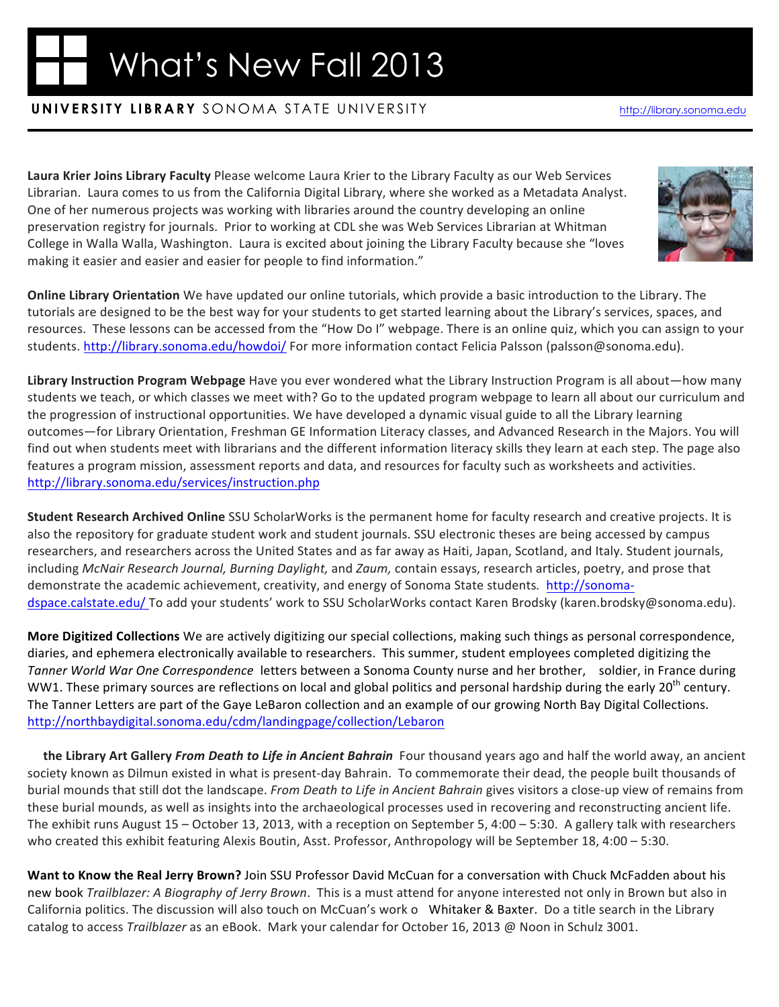## **UNIVERSITY LIBRARY** SONOMA STATE UNIVERSITY http://library.sonoma.edu

**Laura Krier Joins Library Faculty** Please welcome Laura Krier to the Library Faculty as our Web Services Librarian. Laura comes to us from the California Digital Library, where she worked as a Metadata Analyst. One of her numerous projects was working with libraries around the country developing an online preservation registry for journals. Prior to working at CDL she was Web Services Librarian at Whitman College in Walla Walla, Washington. Laura is excited about joining the Library Faculty because she "loves making it easier and easier and easier for people to find information."

**Online Library Orientation** We have updated our online tutorials, which provide a basic introduction to the Library. The tutorials are designed to be the best way for your students to get started learning about the Library's services, spaces, and resources. These lessons can be accessed from the "How Do I" webpage. There is an online quiz, which you can assign to your students. http://library.sonoma.edu/howdoi/ For more information contact Felicia Palsson (palsson@sonoma.edu).

**Library Instruction Program Webpage** Have you ever wondered what the Library Instruction Program is all about—how many students we teach, or which classes we meet with? Go to the updated program webpage to learn all about our curriculum and the progression of instructional opportunities. We have developed a dynamic visual guide to all the Library learning outcomes—for Library Orientation, Freshman GE Information Literacy classes, and Advanced Research in the Majors. You will find out when students meet with librarians and the different information literacy skills they learn at each step. The page also features a program mission, assessment reports and data, and resources for faculty such as worksheets and activities. http://library.sonoma.edu/services/instruction.php

**Student Research Archived Online** SSU ScholarWorks is the permanent home for faculty research and creative projects. It is also the repository for graduate student work and student journals. SSU electronic theses are being accessed by campus researchers, and researchers across the United States and as far away as Haiti, Japan, Scotland, and Italy. Student journals, including *McNair Research Journal, Burning Daylight,* and *Zaum,* contain essays, research articles, poetry, and prose that demonstrate the academic achievement, creativity, and energy of Sonoma State students. http://sonomadspace.calstate.edu/ To add your students' work to SSU ScholarWorks contact Karen Brodsky (karen.brodsky@sonoma.edu).

**More Digitized Collections** We are actively digitizing our special collections, making such things as personal correspondence, diaries, and ephemera electronically available to researchers. This summer, student employees completed digitizing the *Tanner World War One Correspondence* letters between a Sonoma County nurse and her brother, soldier, in France during WW1. These primary sources are reflections on local and global politics and personal hardship during the early 20<sup>th</sup> century. The Tanner Letters are part of the Gaye LeBaron collection and an example of our growing North Bay Digital Collections. http://northbaydigital.sonoma.edu/cdm/landingpage/collection/Lebaron

**the Library Art Gallery** *From Death to Life in Ancient Bahrain* Four thousand years ago and half the world away, an ancient society known as Dilmun existed in what is present-day Bahrain. To commemorate their dead, the people built thousands of burial mounds that still dot the landscape. *From Death to Life in Ancient Bahrain* gives visitors a close\up!view of remains from these burial mounds, as well as insights into the archaeological processes used in recovering and reconstructing ancient life. The exhibit runs August  $15$  – October 13, 2013, with a reception on September 5, 4:00 – 5:30. A gallery talk with researchers who created this exhibit featuring Alexis Boutin, Asst. Professor, Anthropology will be September 18,  $4:00 - 5:30$ .

**Want to Know the Real Jerry Brown?** Join SSU Professor David McCuan for a conversation with Chuck McFadden about his new book *Trailblazer: A Biography of Jerry Brown*. This is a must attend for anyone interested not only in Brown but also in California politics. The discussion will also touch on McCuan's work o Whitaker & Baxter. Do a title search in the Library catalog to access!*Trailblazer* as an eBook. Mark your calendar for October 16, 2013 @ Noon in Schulz 3001.